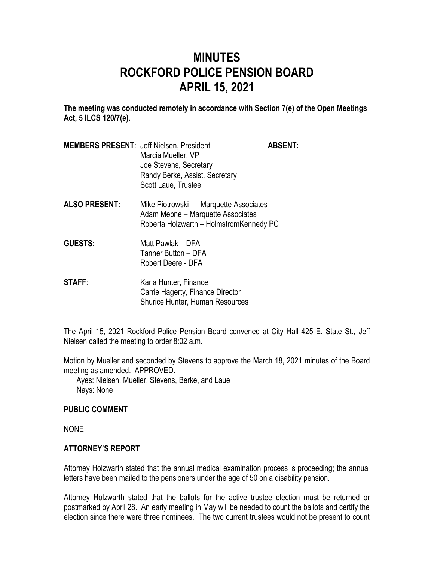# **MINUTES ROCKFORD POLICE PENSION BOARD APRIL 15, 2021**

**The meeting was conducted remotely in accordance with Section 7(e) of the Open Meetings Act, 5 ILCS 120/7(e).**

| <b>MEMBERS PRESENT: Jeff Nielsen, President</b> |                                | <b>ABSENT:</b> |
|-------------------------------------------------|--------------------------------|----------------|
|                                                 | Marcia Mueller, VP             |                |
|                                                 | Joe Stevens, Secretary         |                |
|                                                 | Randy Berke, Assist. Secretary |                |
|                                                 | Scott Laue, Trustee            |                |

- **ALSO PRESENT:** Mike Piotrowski Marquette Associates Adam Mebne – Marquette Associates Roberta Holzwarth – HolmstromKennedy PC
- **GUESTS:** Matt Pawlak DFA Tanner Button – DFA Robert Deere - DFA
- **STAFF:** Karla Hunter, Finance Carrie Hagerty, Finance Director Shurice Hunter, Human Resources

The April 15, 2021 Rockford Police Pension Board convened at City Hall 425 E. State St., Jeff Nielsen called the meeting to order 8:02 a.m.

Motion by Mueller and seconded by Stevens to approve the March 18, 2021 minutes of the Board meeting as amended. APPROVED.

Ayes: Nielsen, Mueller, Stevens, Berke, and Laue Nays: None

## **PUBLIC COMMENT**

NONE

## **ATTORNEY'S REPORT**

Attorney Holzwarth stated that the annual medical examination process is proceeding; the annual letters have been mailed to the pensioners under the age of 50 on a disability pension.

Attorney Holzwarth stated that the ballots for the active trustee election must be returned or postmarked by April 28. An early meeting in May will be needed to count the ballots and certify the election since there were three nominees. The two current trustees would not be present to count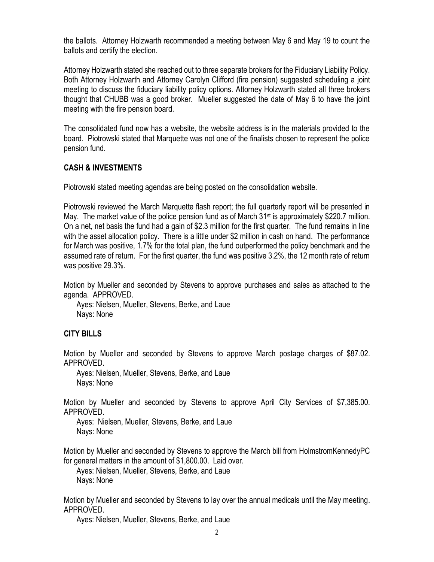the ballots. Attorney Holzwarth recommended a meeting between May 6 and May 19 to count the ballots and certify the election.

Attorney Holzwarth stated she reached out to three separate brokers for the Fiduciary Liability Policy. Both Attorney Holzwarth and Attorney Carolyn Clifford (fire pension) suggested scheduling a joint meeting to discuss the fiduciary liability policy options. Attorney Holzwarth stated all three brokers thought that CHUBB was a good broker. Mueller suggested the date of May 6 to have the joint meeting with the fire pension board.

The consolidated fund now has a website, the website address is in the materials provided to the board. Piotrowski stated that Marquette was not one of the finalists chosen to represent the police pension fund.

## **CASH & INVESTMENTS**

Piotrowski stated meeting agendas are being posted on the consolidation website.

Piotrowski reviewed the March Marquette flash report; the full quarterly report will be presented in May. The market value of the police pension fund as of March  $31<sup>st</sup>$  is approximately \$220.7 million. On a net, net basis the fund had a gain of \$2.3 million for the first quarter. The fund remains in line with the asset allocation policy. There is a little under \$2 million in cash on hand. The performance for March was positive, 1.7% for the total plan, the fund outperformed the policy benchmark and the assumed rate of return. For the first quarter, the fund was positive 3.2%, the 12 month rate of return was positive 29.3%.

Motion by Mueller and seconded by Stevens to approve purchases and sales as attached to the agenda. APPROVED.

Ayes: Nielsen, Mueller, Stevens, Berke, and Laue Nays: None

## **CITY BILLS**

Motion by Mueller and seconded by Stevens to approve March postage charges of \$87.02. APPROVED.

Ayes: Nielsen, Mueller, Stevens, Berke, and Laue Nays: None

Motion by Mueller and seconded by Stevens to approve April City Services of \$7,385.00. APPROVED.

Ayes: Nielsen, Mueller, Stevens, Berke, and Laue Nays: None

Motion by Mueller and seconded by Stevens to approve the March bill from HolmstromKennedyPC for general matters in the amount of \$1,800.00. Laid over.

Ayes: Nielsen, Mueller, Stevens, Berke, and Laue Nays: None

Motion by Mueller and seconded by Stevens to lay over the annual medicals until the May meeting. APPROVED.

Ayes: Nielsen, Mueller, Stevens, Berke, and Laue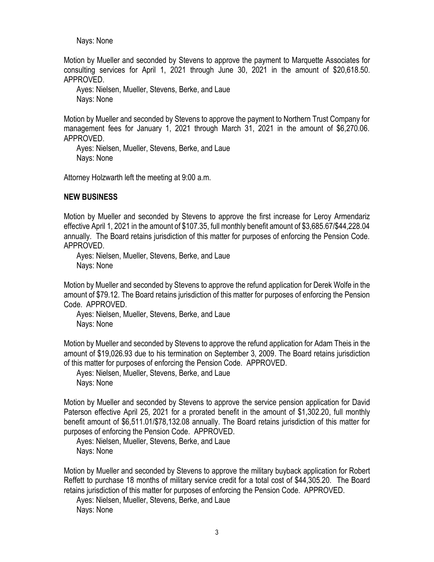Nays: None

Motion by Mueller and seconded by Stevens to approve the payment to Marquette Associates for consulting services for April 1, 2021 through June 30, 2021 in the amount of \$20,618.50. APPROVED.

Ayes: Nielsen, Mueller, Stevens, Berke, and Laue Nays: None

Motion by Mueller and seconded by Stevens to approve the payment to Northern Trust Company for management fees for January 1, 2021 through March 31, 2021 in the amount of \$6,270.06. APPROVED.

Ayes: Nielsen, Mueller, Stevens, Berke, and Laue Nays: None

Attorney Holzwarth left the meeting at 9:00 a.m.

#### **NEW BUSINESS**

Motion by Mueller and seconded by Stevens to approve the first increase for Leroy Armendariz effective April 1, 2021 in the amount of \$107.35, full monthly benefit amount of \$3,685.67/\$44,228.04 annually. The Board retains jurisdiction of this matter for purposes of enforcing the Pension Code. APPROVED.

Ayes: Nielsen, Mueller, Stevens, Berke, and Laue Nays: None

Motion by Mueller and seconded by Stevens to approve the refund application for Derek Wolfe in the amount of \$79.12. The Board retains jurisdiction of this matter for purposes of enforcing the Pension Code. APPROVED.

Ayes: Nielsen, Mueller, Stevens, Berke, and Laue Nays: None

Motion by Mueller and seconded by Stevens to approve the refund application for Adam Theis in the amount of \$19,026.93 due to his termination on September 3, 2009. The Board retains jurisdiction of this matter for purposes of enforcing the Pension Code. APPROVED.

Ayes: Nielsen, Mueller, Stevens, Berke, and Laue Nays: None

Motion by Mueller and seconded by Stevens to approve the service pension application for David Paterson effective April 25, 2021 for a prorated benefit in the amount of \$1,302.20, full monthly benefit amount of \$6,511.01/\$78,132.08 annually. The Board retains jurisdiction of this matter for purposes of enforcing the Pension Code. APPROVED.

Ayes: Nielsen, Mueller, Stevens, Berke, and Laue Nays: None

Motion by Mueller and seconded by Stevens to approve the military buyback application for Robert Reffett to purchase 18 months of military service credit for a total cost of \$44,305.20. The Board retains jurisdiction of this matter for purposes of enforcing the Pension Code. APPROVED.

Ayes: Nielsen, Mueller, Stevens, Berke, and Laue

Nays: None